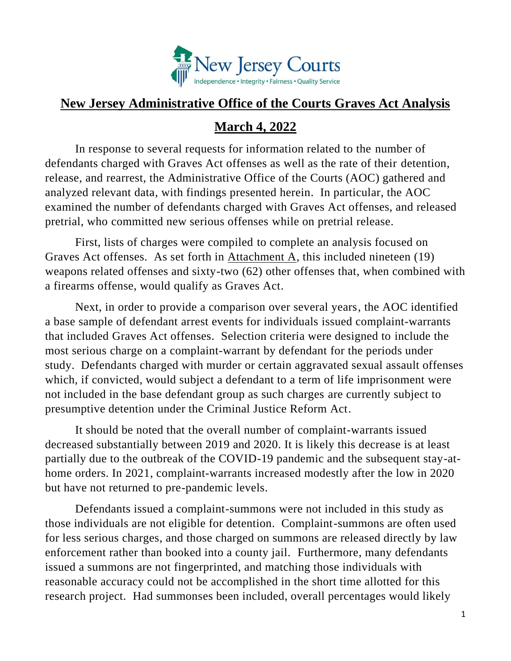

## **New Jersey Administrative Office of the Courts Graves Act Analysis**

## **March 4, 2022**

In response to several requests for information related to the number of defendants charged with Graves Act offenses as well as the rate of their detention, release, and rearrest, the Administrative Office of the Courts (AOC) gathered and analyzed relevant data, with findings presented herein. In particular, the AOC examined the number of defendants charged with Graves Act offenses, and released pretrial, who committed new serious offenses while on pretrial release.

First, lists of charges were compiled to complete an analysis focused on Graves Act offenses. As set forth in Attachment A, this included nineteen (19) weapons related offenses and sixty-two (62) other offenses that, when combined with a firearms offense, would qualify as Graves Act.

Next, in order to provide a comparison over several years, the AOC identified a base sample of defendant arrest events for individuals issued complaint-warrants that included Graves Act offenses. Selection criteria were designed to include the most serious charge on a complaint-warrant by defendant for the periods under study. Defendants charged with murder or certain aggravated sexual assault offenses which, if convicted, would subject a defendant to a term of life imprisonment were not included in the base defendant group as such charges are currently subject to presumptive detention under the Criminal Justice Reform Act.

It should be noted that the overall number of complaint-warrants issued decreased substantially between 2019 and 2020. It is likely this decrease is at least partially due to the outbreak of the COVID-19 pandemic and the subsequent stay-athome orders. In 2021, complaint-warrants increased modestly after the low in 2020 but have not returned to pre-pandemic levels.

Defendants issued a complaint-summons were not included in this study as those individuals are not eligible for detention. Complaint-summons are often used for less serious charges, and those charged on summons are released directly by law enforcement rather than booked into a county jail. Furthermore, many defendants issued a summons are not fingerprinted, and matching those individuals with reasonable accuracy could not be accomplished in the short time allotted for this research project. Had summonses been included, overall percentages would likely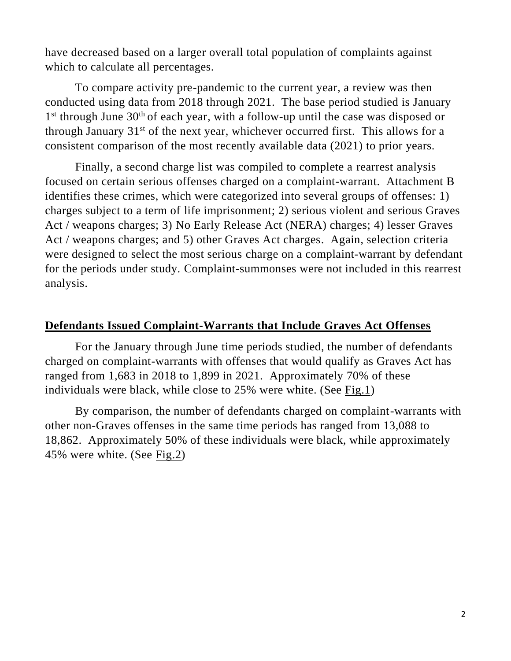have decreased based on a larger overall total population of complaints against which to calculate all percentages.

To compare activity pre-pandemic to the current year, a review was then conducted using data from 2018 through 2021. The base period studied is January 1<sup>st</sup> through June 30<sup>th</sup> of each year, with a follow-up until the case was disposed or through January  $31<sup>st</sup>$  of the next year, whichever occurred first. This allows for a consistent comparison of the most recently available data (2021) to prior years.

Finally, a second charge list was compiled to complete a rearrest analysis focused on certain serious offenses charged on a complaint-warrant. Attachment B identifies these crimes, which were categorized into several groups of offenses: 1) charges subject to a term of life imprisonment; 2) serious violent and serious Graves Act / weapons charges; 3) No Early Release Act (NERA) charges; 4) lesser Graves Act / weapons charges; and 5) other Graves Act charges. Again, selection criteria were designed to select the most serious charge on a complaint-warrant by defendant for the periods under study. Complaint-summonses were not included in this rearrest analysis.

#### **Defendants Issued Complaint-Warrants that Include Graves Act Offenses**

For the January through June time periods studied, the number of defendants charged on complaint-warrants with offenses that would qualify as Graves Act has ranged from 1,683 in 2018 to 1,899 in 2021. Approximately 70% of these individuals were black, while close to 25% were white. (See Fig.1)

By comparison, the number of defendants charged on complaint-warrants with other non-Graves offenses in the same time periods has ranged from 13,088 to 18,862. Approximately 50% of these individuals were black, while approximately 45% were white. (See Fig.2)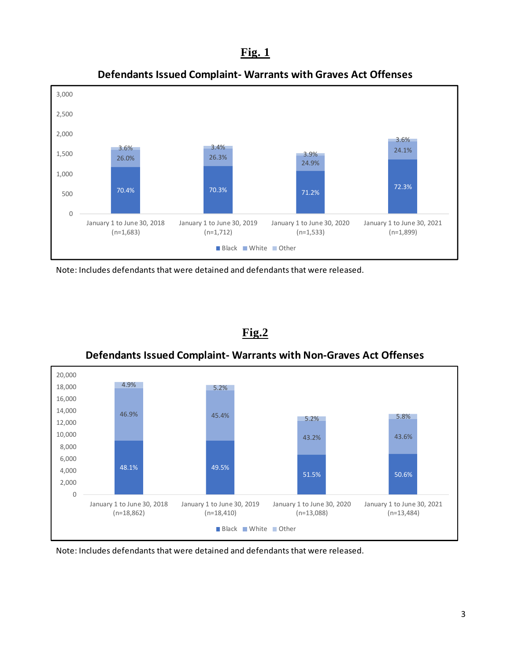#### **Fig. 1**



**Defendants Issued Complaint- Warrants with Graves Act Offenses**

Note: Includes defendants that were detained and defendants that were released.



**Defendants Issued Complaint- Warrants with Non-Graves Act Offenses**

**Fig.2**

Note: Includes defendants that were detained and defendants that were released.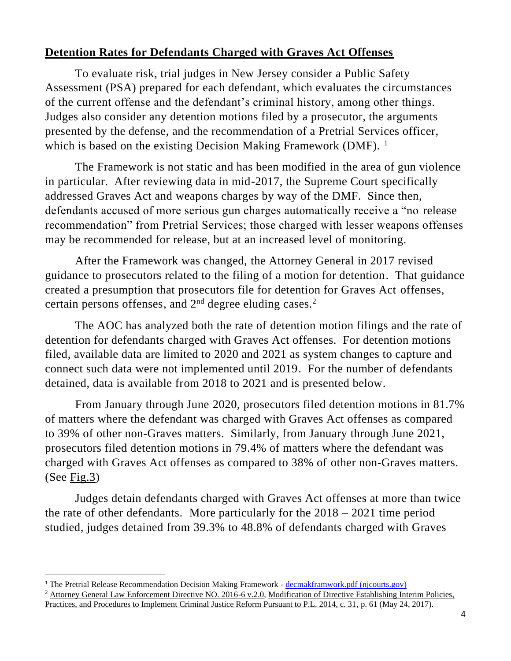## **Detention Rates for Defendants Charged with Graves Act Offenses**

To evaluate risk, trial judges in New Jersey consider a Public Safety Assessment (PSA) prepared for each defendant, which evaluates the circumstances of the current offense and the defendant's criminal history, among other things. Judges also consider any detention motions filed by a prosecutor, the arguments presented by the defense, and the recommendation of a Pretrial Services officer, which is based on the existing Decision Making Framework (DMF).<sup>1</sup>

The Framework is not static and has been modified in the area of gun violence in particular. After reviewing data in mid-2017, the Supreme Court specifically addressed Graves Act and weapons charges by way of the DMF. Since then, defendants accused of more serious gun charges automatically receive a "no release recommendation" from Pretrial Services; those charged with lesser weapons offenses may be recommended for release, but at an increased level of monitoring.

After the Framework was changed, the Attorney General in 2017 revised guidance to prosecutors related to the filing of a motion for detention. That guidance created a presumption that prosecutors file for detention for Graves Act offenses, certain persons offenses, and  $2<sup>nd</sup>$  degree eluding cases.<sup>2</sup>

The AOC has analyzed both the rate of detention motion filings and the rate of detention for defendants charged with Graves Act offenses. For detention motions filed, available data are limited to 2020 and 2021 as system changes to capture and connect such data were not implemented until 2019. For the number of defendants detained, data is available from 2018 to 2021 and is presented below.

From January through June 2020, prosecutors filed detention motions in 81.7% of matters where the defendant was charged with Graves Act offenses as compared to 39% of other non-Graves matters. Similarly, from January through June 2021, prosecutors filed detention motions in 79.4% of matters where the defendant was charged with Graves Act offenses as compared to 38% of other non-Graves matters. (See Fig.3)

Judges detain defendants charged with Graves Act offenses at more than twice the rate of other defendants. More particularly for the  $2018 - 2021$  time period studied, judges detained from 39.3% to 48.8% of defendants charged with Graves

<sup>&</sup>lt;sup>1</sup> The Pretrial Release Recommendation Decision Making Framework - [decmakframwork.pdf \(njcourts.gov\)](https://www.njcourts.gov/courts/assets/criminal/decmakframwork.pdf?c=tyM)

<sup>2</sup> Attorney General Law Enforcement Directive NO. 2016-6 v.2.0, Modification of Directive Establishing Interim Policies, Practices, and Procedures to Implement Criminal Justice Reform Pursuant to P.L. 2014, c. 31, p. 61 (May 24, 2017).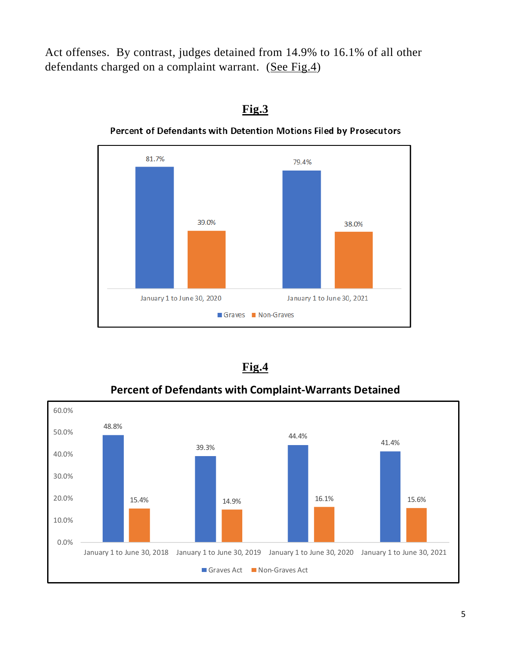Act offenses. By contrast, judges detained from 14.9% to 16.1% of all other defendants charged on a complaint warrant. (See Fig.4)



#### **Fig.3**

**Percent of Defendants with Detention Motions Filed by Prosecutors** 

|--|

**Percent of Defendants with Complaint-Warrants Detained**

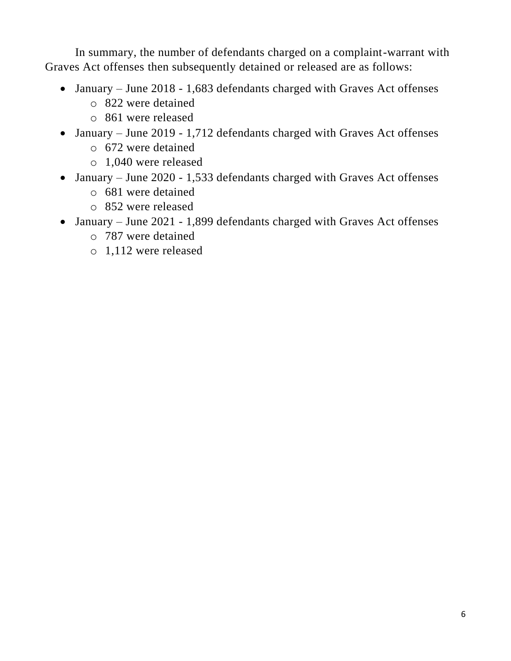In summary, the number of defendants charged on a complaint-warrant with Graves Act offenses then subsequently detained or released are as follows:

- January June 2018 1,683 defendants charged with Graves Act offenses
	- o 822 were detained
	- o 861 were released
- January June 2019 1,712 defendants charged with Graves Act offenses o 672 were detained
	- o 1,040 were released
- January June 2020 1,533 defendants charged with Graves Act offenses
	- o 681 were detained
	- o 852 were released
- January June 2021 1,899 defendants charged with Graves Act offenses
	- o 787 were detained
	- o 1,112 were released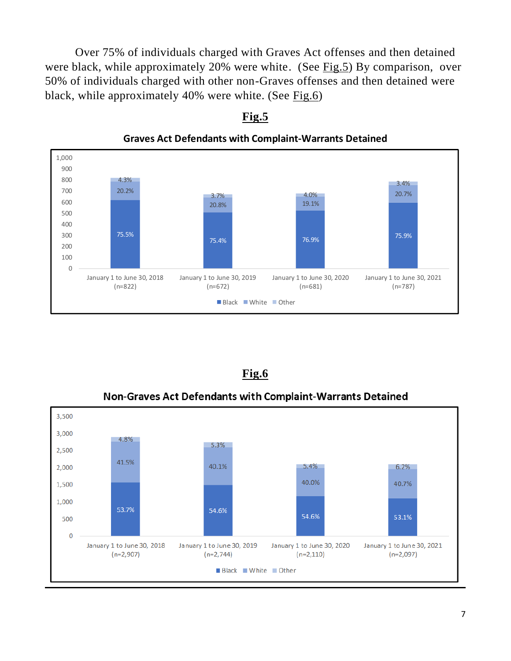Over 75% of individuals charged with Graves Act offenses and then detained were black, while approximately 20% were white. (See Fig.5) By comparison, over 50% of individuals charged with other non-Graves offenses and then detained were black, while approximately 40% were white. (See Fig.6)



**Fig.5**

**Graves Act Defendants with Complaint-Warrants Detained**

|--|

**Non-Graves Act Defendants with Complaint-Warrants Detained** 

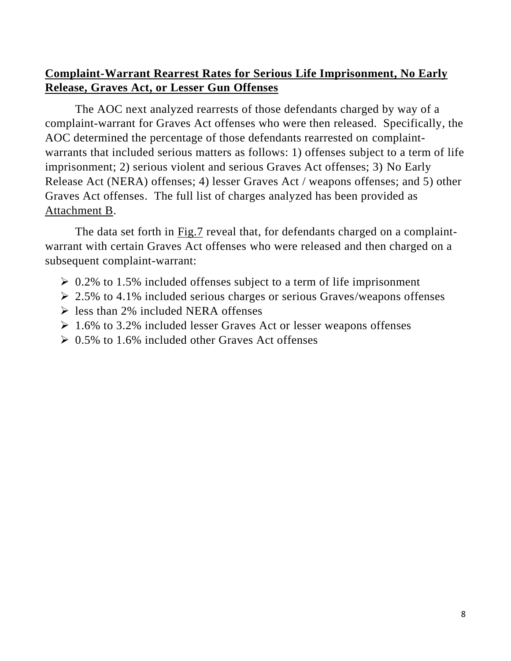#### **Complaint-Warrant Rearrest Rates for Serious Life Imprisonment, No Early Release, Graves Act, or Lesser Gun Offenses**

The AOC next analyzed rearrests of those defendants charged by way of a complaint-warrant for Graves Act offenses who were then released. Specifically, the AOC determined the percentage of those defendants rearrested on complaintwarrants that included serious matters as follows: 1) offenses subject to a term of life imprisonment; 2) serious violent and serious Graves Act offenses; 3) No Early Release Act (NERA) offenses; 4) lesser Graves Act / weapons offenses; and 5) other Graves Act offenses. The full list of charges analyzed has been provided as Attachment B.

The data set forth in Fig.7 reveal that, for defendants charged on a complaintwarrant with certain Graves Act offenses who were released and then charged on a subsequent complaint-warrant:

- $\geq 0.2\%$  to 1.5% included offenses subject to a term of life imprisonment
- $\geq$  2.5% to 4.1% included serious charges or serious Graves/weapons offenses
- $\triangleright$  less than 2% included NERA offenses
- $\geq 1.6\%$  to 3.2% included lesser Graves Act or lesser weapons offenses
- $\geq 0.5\%$  to 1.6% included other Graves Act offenses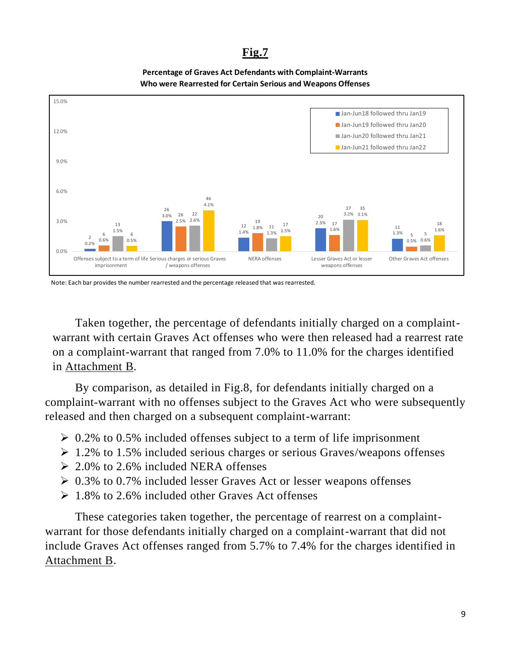#### **Fig.7**





Note: Each bar provides the number rearrested and the percentage released that was rearrested.

Taken together, the percentage of defendants initially charged on a complaintwarrant with certain Graves Act offenses who were then released had a rearrest rate on a complaint-warrant that ranged from 7.0% to 11.0% for the charges identified in Attachment B.

By comparison, as detailed in Fig.8, for defendants initially charged on a complaint-warrant with no offenses subject to the Graves Act who were subsequently released and then charged on a subsequent complaint-warrant:

- $\geq 0.2\%$  to 0.5% included offenses subject to a term of life imprisonment
- $\geq 1.2\%$  to 1.5% included serious charges or serious Graves/weapons offenses
- $\geq 2.0\%$  to 2.6% included NERA offenses
- $\geq 0.3\%$  to 0.7% included lesser Graves Act or lesser weapons offenses
- $\geq 1.8\%$  to 2.6% included other Graves Act offenses

These categories taken together, the percentage of rearrest on a complaintwarrant for those defendants initially charged on a complaint-warrant that did not include Graves Act offenses ranged from 5.7% to 7.4% for the charges identified in Attachment B.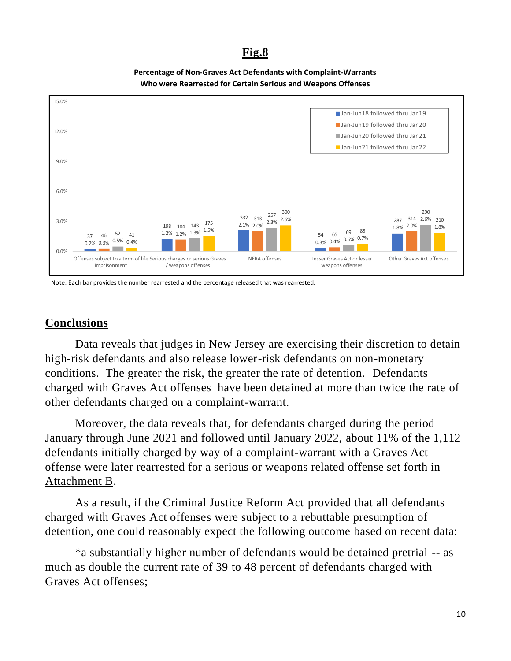#### **Fig.8**





Note: Each bar provides the number rearrested and the percentage released that was rearrested.

#### **Conclusions**

Data reveals that judges in New Jersey are exercising their discretion to detain high-risk defendants and also release lower-risk defendants on non-monetary conditions. The greater the risk, the greater the rate of detention. Defendants charged with Graves Act offenses have been detained at more than twice the rate of other defendants charged on a complaint-warrant.

Moreover, the data reveals that, for defendants charged during the period January through June 2021 and followed until January 2022, about 11% of the 1,112 defendants initially charged by way of a complaint-warrant with a Graves Act offense were later rearrested for a serious or weapons related offense set forth in Attachment B.

As a result, if the Criminal Justice Reform Act provided that all defendants charged with Graves Act offenses were subject to a rebuttable presumption of detention, one could reasonably expect the following outcome based on recent data:

\*a substantially higher number of defendants would be detained pretrial -- as much as double the current rate of 39 to 48 percent of defendants charged with Graves Act offenses;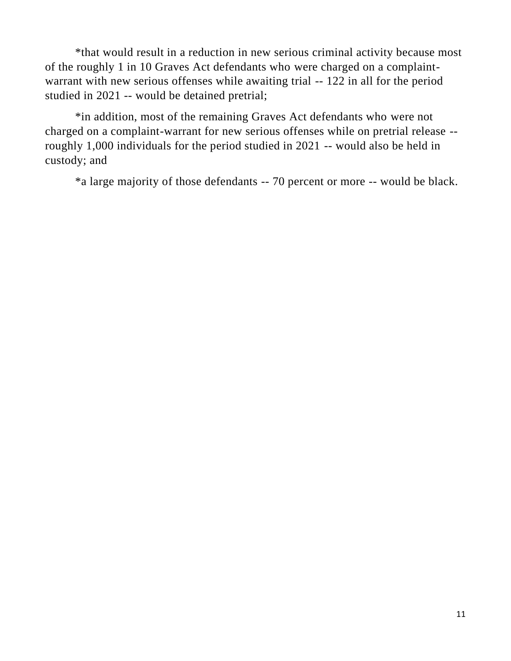\*that would result in a reduction in new serious criminal activity because most of the roughly 1 in 10 Graves Act defendants who were charged on a complaintwarrant with new serious offenses while awaiting trial -- 122 in all for the period studied in 2021 -- would be detained pretrial;

\*in addition, most of the remaining Graves Act defendants who were not charged on a complaint-warrant for new serious offenses while on pretrial release - roughly 1,000 individuals for the period studied in 2021 -- would also be held in custody; and

\*a large majority of those defendants -- 70 percent or more -- would be black.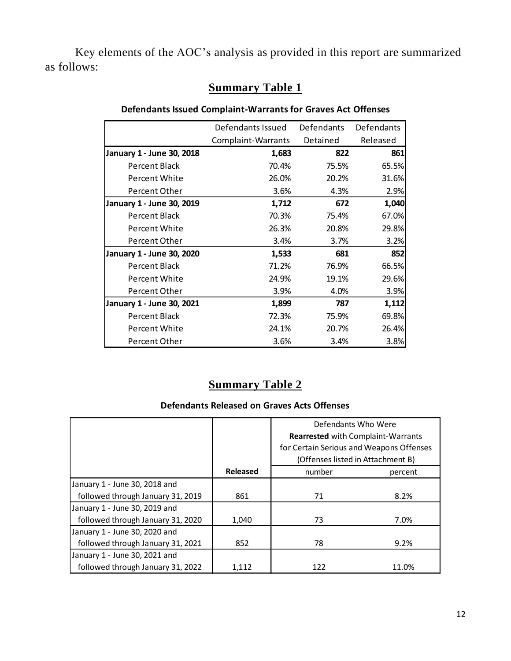Key elements of the AOC's analysis as provided in this report are summarized as follows:

#### **Summary Table 1**

#### **Defendants Issued Complaint-Warrants for Graves Act Offenses**

|                           | Defendants Issued  | <b>Defendants</b> | Defendants |
|---------------------------|--------------------|-------------------|------------|
|                           | Complaint-Warrants | Detained          | Released   |
| January 1 - June 30, 2018 | 1,683              | 822               | 861        |
| Percent Black             | 70.4%              | 75.5%             | 65.5%      |
| Percent White             | 26.0%              | 20.2%             | 31.6%      |
| Percent Other             | 3.6%               | 4.3%              | 2.9%       |
| January 1 - June 30, 2019 | 1,712              | 672               | 1,040      |
| Percent Black             | 70.3%              | 75.4%             | 67.0%      |
| Percent White             | 26.3%              | 20.8%             | 29.8%      |
| Percent Other             | 3.4%               | 3.7%              | 3.2%       |
| January 1 - June 30, 2020 | 1,533              | 681               | 852        |
| Percent Black             | 71.2%              | 76.9%             | 66.5%      |
| <b>Percent White</b>      | 24.9%              | 19.1%             | 29.6%      |
| Percent Other             | 3.9%               | 4.0%              | 3.9%       |
| January 1 - June 30, 2021 | 1,899              | 787               | 1,112      |
| Percent Black             | 72.3%              | 75.9%             | 69.8%      |
| Percent White             | 24.1%              | 20.7%             | 26.4%      |
| Percent Other             | 3.6%               | 3.4%              | 3.8%       |

## **Summary Table 2**

#### **Defendants Released on Graves Acts Offenses**

|                                   |          | Defendants Who Were                      |         |  |
|-----------------------------------|----------|------------------------------------------|---------|--|
|                                   |          | Rearrested with Complaint-Warrants       |         |  |
|                                   |          | for Certain Serious and Weapons Offenses |         |  |
|                                   |          | (Offenses listed in Attachment B)        |         |  |
|                                   | Released | number                                   | percent |  |
| January 1 - June 30, 2018 and     |          |                                          |         |  |
| followed through January 31, 2019 | 861      | 71                                       | 8.2%    |  |
| January 1 - June 30, 2019 and     |          |                                          |         |  |
| followed through January 31, 2020 | 1.040    | 73                                       | 7.0%    |  |
| January 1 - June 30, 2020 and     |          |                                          |         |  |
| followed through January 31, 2021 | 852      | 78                                       | 9.2%    |  |
| January 1 - June 30, 2021 and     |          |                                          |         |  |
| followed through January 31, 2022 | 1,112    | 122                                      | 11.0%   |  |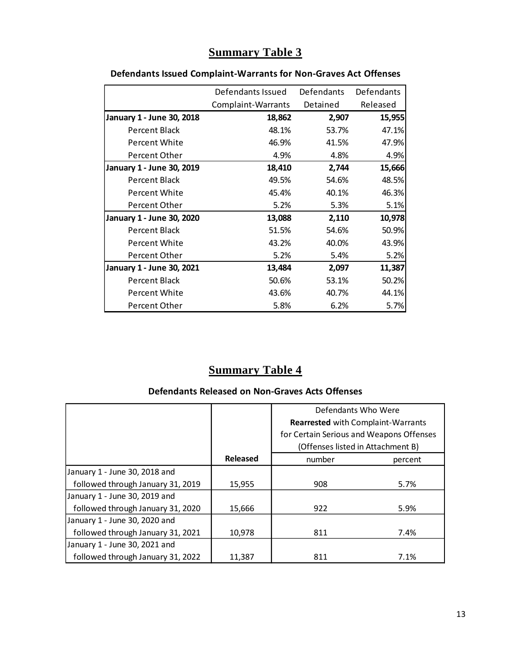## **Summary Table 3**

|                           | Defendants Issued  | <b>Defendants</b> | Defendants |
|---------------------------|--------------------|-------------------|------------|
|                           | Complaint-Warrants | Detained          | Released   |
| January 1 - June 30, 2018 | 18,862             | 2,907             | 15,955     |
| Percent Black             | 48.1%              | 53.7%             | 47.1%      |
| Percent White             | 46.9%              | 41.5%             | 47.9%      |
| Percent Other             | 4.9%               | 4.8%              | 4.9%       |
| January 1 - June 30, 2019 | 18,410             | 2,744             | 15,666     |
| Percent Black             | 49.5%              | 54.6%             | 48.5%      |
| Percent White             | 45.4%              | 40.1%             | 46.3%      |
| Percent Other             | 5.2%               | 5.3%              | 5.1%       |
| January 1 - June 30, 2020 | 13,088             | 2,110             | 10,978     |
| Percent Black             | 51.5%              | 54.6%             | 50.9%      |
| Percent White             | 43.2%              | 40.0%             | 43.9%      |
| Percent Other             | 5.2%               | 5.4%              | 5.2%       |
| January 1 - June 30, 2021 | 13,484             | 2,097             | 11,387     |
| Percent Black             | 50.6%              | 53.1%             | 50.2%      |
| Percent White             | 43.6%              | 40.7%             | 44.1%      |
| Percent Other             | 5.8%               | 6.2%              | 5.7%       |

#### **Defendants Issued Complaint-Warrants for Non-Graves Act Offenses**

## **Summary Table 4**

#### **Defendants Released on Non-Graves Acts Offenses**

|                                   |                 | Defendants Who Were                       |         |  |
|-----------------------------------|-----------------|-------------------------------------------|---------|--|
|                                   |                 | <b>Rearrested with Complaint-Warrants</b> |         |  |
|                                   |                 | for Certain Serious and Weapons Offenses  |         |  |
|                                   |                 | (Offenses listed in Attachment B)         |         |  |
|                                   | <b>Released</b> | number                                    | percent |  |
| January 1 - June 30, 2018 and     |                 |                                           |         |  |
| followed through January 31, 2019 | 15,955          | 908                                       | 5.7%    |  |
| January 1 - June 30, 2019 and     |                 |                                           |         |  |
| followed through January 31, 2020 | 15,666          | 922                                       | 5.9%    |  |
| January 1 - June 30, 2020 and     |                 |                                           |         |  |
| followed through January 31, 2021 | 10,978          | 811                                       | 7.4%    |  |
| January 1 - June 30, 2021 and     |                 |                                           |         |  |
| followed through January 31, 2022 | 11,387          | 811                                       | 7.1%    |  |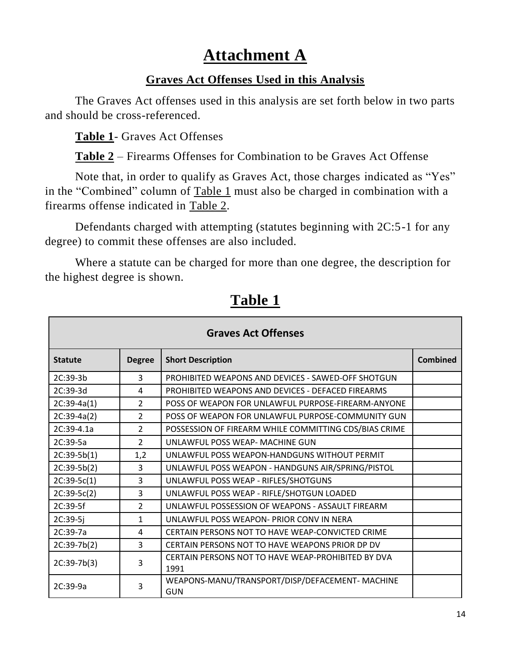# **Attachment A**

#### **Graves Act Offenses Used in this Analysis**

The Graves Act offenses used in this analysis are set forth below in two parts and should be cross-referenced.

**Table 1**- Graves Act Offenses

**Table 2** – Firearms Offenses for Combination to be Graves Act Offense

Note that, in order to qualify as Graves Act, those charges indicated as "Yes" in the "Combined" column of Table 1 must also be charged in combination with a firearms offense indicated in Table 2.

Defendants charged with attempting (statutes beginning with 2C:5-1 for any degree) to commit these offenses are also included.

Where a statute can be charged for more than one degree, the description for the highest degree is shown.

| <b>Graves Act Offenses</b> |                |                                                              |                 |  |
|----------------------------|----------------|--------------------------------------------------------------|-----------------|--|
| <b>Statute</b>             | <b>Degree</b>  | <b>Short Description</b>                                     | <b>Combined</b> |  |
| $2C:39-3h$                 | 3              | <b>PROHIBITED WEAPONS AND DEVICES - SAWED-OFF SHOTGUN</b>    |                 |  |
| 2C:39-3d                   | 4              | PROHIBITED WEAPONS AND DEVICES - DEFACED FIREARMS            |                 |  |
| $2C:39-4a(1)$              | $\overline{2}$ | POSS OF WEAPON FOR UNLAWFUL PURPOSE-FIREARM-ANYONE           |                 |  |
| $2C:39-4a(2)$              | $\overline{2}$ | POSS OF WEAPON FOR UNLAWFUL PURPOSE-COMMUNITY GUN            |                 |  |
| $2C:39-4.1a$               | $\overline{2}$ | POSSESSION OF FIREARM WHILE COMMITTING CDS/BIAS CRIME        |                 |  |
| 2C:39-5a                   | $\mathcal{P}$  | UNLAWFUL POSS WEAP- MACHINE GUN                              |                 |  |
| $2C:39-5b(1)$              | 1,2            | UNLAWFUL POSS WEAPON-HANDGUNS WITHOUT PERMIT                 |                 |  |
| $2C:39-5b(2)$              | 3              | UNLAWFUL POSS WEAPON - HANDGUNS AIR/SPRING/PISTOL            |                 |  |
| $2C:39-5C(1)$              | 3              | UNLAWFUL POSS WEAP - RIFLES/SHOTGUNS                         |                 |  |
| $2C:39-5c(2)$              | 3              | UNLAWFUL POSS WEAP - RIFLE/SHOTGUN LOADED                    |                 |  |
| 2C:39-5f                   | $\overline{2}$ | UNLAWFUL POSSESSION OF WEAPONS - ASSAULT FIREARM             |                 |  |
| $2C:39-5j$                 | $\mathbf{1}$   | UNLAWFUL POSS WEAPON- PRIOR CONV IN NERA                     |                 |  |
| 2C:39-7a                   | 4              | CERTAIN PERSONS NOT TO HAVE WEAP-CONVICTED CRIME             |                 |  |
| $2C:39-7b(2)$              | 3              | CERTAIN PERSONS NOT TO HAVE WEAPONS PRIOR DP DV              |                 |  |
| $2C:39-7b(3)$              | $\overline{3}$ | CERTAIN PERSONS NOT TO HAVE WEAP-PROHIBITED BY DVA<br>1991   |                 |  |
| $2C:39-9a$                 | 3              | WEAPONS-MANU/TRANSPORT/DISP/DEFACEMENT-MACHINE<br><b>GUN</b> |                 |  |

**Table 1**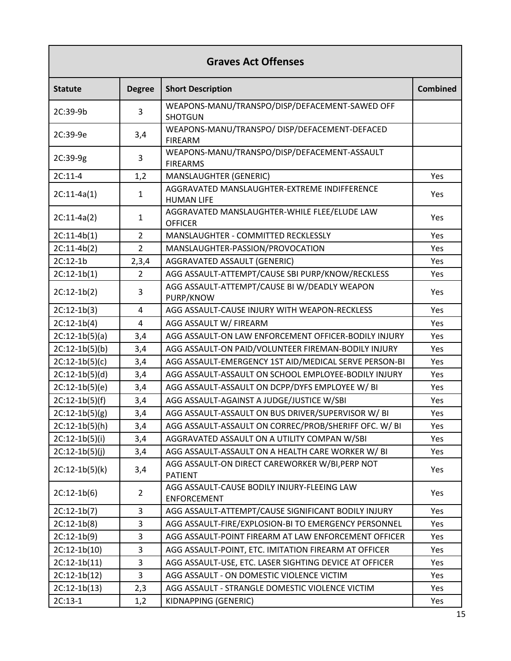| <b>Graves Act Offenses</b> |                |                                                                   |                 |  |
|----------------------------|----------------|-------------------------------------------------------------------|-----------------|--|
| <b>Statute</b>             | <b>Degree</b>  | <b>Short Description</b>                                          | <b>Combined</b> |  |
| 2C:39-9b                   | 3              | WEAPONS-MANU/TRANSPO/DISP/DEFACEMENT-SAWED OFF<br><b>SHOTGUN</b>  |                 |  |
| 2C:39-9e                   | 3,4            | WEAPONS-MANU/TRANSPO/ DISP/DEFACEMENT-DEFACED<br><b>FIREARM</b>   |                 |  |
| 2C:39-9g                   | 3              | WEAPONS-MANU/TRANSPO/DISP/DEFACEMENT-ASSAULT<br><b>FIREARMS</b>   |                 |  |
| $2C:11-4$                  | 1,2            | MANSLAUGHTER (GENERIC)                                            | Yes             |  |
| $2C:11-4a(1)$              | 1              | AGGRAVATED MANSLAUGHTER-EXTREME INDIFFERENCE<br><b>HUMAN LIFE</b> | Yes             |  |
| $2C:11-4a(2)$              | $\mathbf{1}$   | AGGRAVATED MANSLAUGHTER-WHILE FLEE/ELUDE LAW<br><b>OFFICER</b>    | Yes             |  |
| $2C:11-4b(1)$              | $\overline{2}$ | MANSLAUGHTER - COMMITTED RECKLESSLY                               | Yes             |  |
| $2C:11-4b(2)$              | $\overline{2}$ | MANSLAUGHTER-PASSION/PROVOCATION                                  | Yes             |  |
| 2C:12-1b                   | 2,3,4          | AGGRAVATED ASSAULT (GENERIC)                                      | Yes             |  |
| $2C:12-1b(1)$              | $\overline{2}$ | AGG ASSAULT-ATTEMPT/CAUSE SBI PURP/KNOW/RECKLESS                  | Yes             |  |
| $2C:12-1b(2)$              | 3              | AGG ASSAULT-ATTEMPT/CAUSE BI W/DEADLY WEAPON<br>PURP/KNOW         | Yes             |  |
| $2C:12-1b(3)$              | 4              | AGG ASSAULT-CAUSE INJURY WITH WEAPON-RECKLESS                     | Yes             |  |
| $2C:12-1b(4)$              | 4              | AGG ASSAULT W/ FIREARM                                            | Yes             |  |
| $2C:12-1b(5)(a)$           | 3,4            | AGG ASSAULT-ON LAW ENFORCEMENT OFFICER-BODILY INJURY              | Yes             |  |
| $2C:12-1b(5)(b)$           | 3,4            | AGG ASSAULT-ON PAID/VOLUNTEER FIREMAN-BODILY INJURY               | Yes             |  |
| $2C:12-1b(5)(c)$           | 3,4            | AGG ASSAULT-EMERGENCY 1ST AID/MEDICAL SERVE PERSON-BI             | Yes             |  |
| $2C:12-1b(5)(d)$           | 3,4            | AGG ASSAULT-ASSAULT ON SCHOOL EMPLOYEE-BODILY INJURY              | Yes             |  |
| $2C:12-1b(5)(e)$           | 3,4            | AGG ASSAULT-ASSAULT ON DCPP/DYFS EMPLOYEE W/ BI                   | Yes             |  |
| $2C:12-1b(5)(f)$           | 3,4            | AGG ASSAULT-AGAINST A JUDGE/JUSTICE W/SBI                         | Yes             |  |
| $2C:12-1b(5)(g)$           | 3,4            | AGG ASSAULT-ASSAULT ON BUS DRIVER/SUPERVISOR W/ BI                | Yes             |  |
| $2C:12-1b(5)(h)$           | 3,4            | AGG ASSAULT-ASSAULT ON CORREC/PROB/SHERIFF OFC. W/ BI             | Yes             |  |
| $2C:12-1b(5)(i)$           | 3,4            | AGGRAVATED ASSAULT ON A UTILITY COMPAN W/SBI                      | Yes             |  |
| $2C:12-1b(5)(j)$           | 3,4            | AGG ASSAULT-ASSAULT ON A HEALTH CARE WORKER W/ BI                 | Yes             |  |
| $2C:12-1b(5)(k)$           | 3,4            | AGG ASSAULT-ON DIRECT CAREWORKER W/BI, PERP NOT<br><b>PATIENT</b> | Yes             |  |
| $2C:12-1b(6)$              | $\overline{2}$ | AGG ASSAULT-CAUSE BODILY INJURY-FLEEING LAW<br><b>ENFORCEMENT</b> | Yes             |  |
| $2C:12-1b(7)$              | 3              | AGG ASSAULT-ATTEMPT/CAUSE SIGNIFICANT BODILY INJURY               | Yes             |  |
| $2C:12-1b(8)$              | 3              | AGG ASSAULT-FIRE/EXPLOSION-BI TO EMERGENCY PERSONNEL              | Yes             |  |
| $2C:12-1b(9)$              | 3              | AGG ASSAULT-POINT FIREARM AT LAW ENFORCEMENT OFFICER              | Yes             |  |
| $2C:12-1b(10)$             | 3              | AGG ASSAULT-POINT, ETC. IMITATION FIREARM AT OFFICER              | Yes             |  |
| $2C:12-1b(11)$             | 3              | AGG ASSAULT-USE, ETC. LASER SIGHTING DEVICE AT OFFICER            | Yes             |  |
| $2C:12-1b(12)$             | 3              | AGG ASSAULT - ON DOMESTIC VIOLENCE VICTIM                         | Yes             |  |
| $2C:12-1b(13)$             | 2,3            | AGG ASSAULT - STRANGLE DOMESTIC VIOLENCE VICTIM                   | Yes             |  |
| $2C:13-1$                  | 1,2            | KIDNAPPING (GENERIC)                                              | Yes             |  |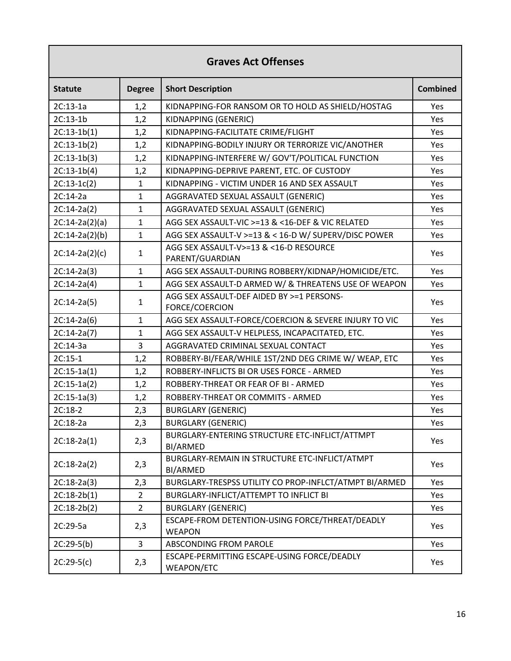## **Graves Act Offenses**

| <b>Statute</b>   | <b>Degree</b>  | <b>Short Description</b>                                         | <b>Combined</b> |
|------------------|----------------|------------------------------------------------------------------|-----------------|
| $2C:13-1a$       | 1,2            | KIDNAPPING-FOR RANSOM OR TO HOLD AS SHIELD/HOSTAG                | Yes             |
| 2C:13-1b         | 1,2            | KIDNAPPING (GENERIC)                                             | Yes             |
| $2C:13-1b(1)$    | 1,2            | KIDNAPPING-FACILITATE CRIME/FLIGHT                               | Yes             |
| $2C:13-1b(2)$    | 1,2            | KIDNAPPING-BODILY INJURY OR TERRORIZE VIC/ANOTHER                | Yes             |
| $2C:13-1b(3)$    | 1,2            | KIDNAPPING-INTERFERE W/ GOV'T/POLITICAL FUNCTION                 | Yes             |
| $2C:13-1b(4)$    | 1,2            | KIDNAPPING-DEPRIVE PARENT, ETC. OF CUSTODY                       | Yes             |
| $2C:13-1C(2)$    | $\mathbf{1}$   | KIDNAPPING - VICTIM UNDER 16 AND SEX ASSAULT                     | Yes             |
| $2C:14-2a$       | $\mathbf{1}$   | AGGRAVATED SEXUAL ASSAULT (GENERIC)                              | <b>Yes</b>      |
| $2C:14-2a(2)$    | $\mathbf{1}$   | AGGRAVATED SEXUAL ASSAULT (GENERIC)                              | Yes             |
| $2C:14-2a(2)(a)$ | $\mathbf{1}$   | AGG SEX ASSAULT-VIC >=13 & <16-DEF & VIC RELATED                 | Yes             |
| $2C:14-2a(2)(b)$ | $\mathbf{1}$   | AGG SEX ASSAULT-V >=13 & < 16-D W/ SUPERV/DISC POWER             | Yes             |
| $2C:14-2a(2)(c)$ | $\mathbf{1}$   | AGG SEX ASSAULT-V>=13 & <16-D RESOURCE<br>PARENT/GUARDIAN        | Yes             |
| $2C:14-2a(3)$    | $\mathbf{1}$   | AGG SEX ASSAULT-DURING ROBBERY/KIDNAP/HOMICIDE/ETC.              | Yes             |
| $2C:14-2a(4)$    | $\mathbf{1}$   | AGG SEX ASSAULT-D ARMED W/ & THREATENS USE OF WEAPON             | Yes             |
| $2C:14-2a(5)$    | 1              | AGG SEX ASSAULT-DEF AIDED BY >=1 PERSONS-<br>FORCE/COERCION      | Yes             |
| $2C:14-2a(6)$    | $\mathbf{1}$   | AGG SEX ASSAULT-FORCE/COERCION & SEVERE INJURY TO VIC            | Yes             |
| $2C:14-2a(7)$    | $\mathbf{1}$   | AGG SEX ASSAULT-V HELPLESS, INCAPACITATED, ETC.                  | Yes             |
| 2C:14-3a         | 3              | AGGRAVATED CRIMINAL SEXUAL CONTACT                               | Yes             |
| $2C:15-1$        | 1,2            | ROBBERY-BI/FEAR/WHILE 1ST/2ND DEG CRIME W/ WEAP, ETC             | Yes             |
| $2C:15-1a(1)$    | 1,2            | ROBBERY-INFLICTS BI OR USES FORCE - ARMED                        | Yes             |
| $2C:15-1a(2)$    | 1,2            | ROBBERY-THREAT OR FEAR OF BI - ARMED                             | Yes             |
| $2C:15-1a(3)$    | 1,2            | ROBBERY-THREAT OR COMMITS - ARMED                                | Yes             |
| 2C:18-2          | 2,3            | <b>BURGLARY (GENERIC)</b>                                        | Yes             |
| 2C:18-2a         | 2,3            | <b>BURGLARY (GENERIC)</b>                                        | Yes             |
| $2C:18-2a(1)$    | 2,3            | BURGLARY-ENTERING STRUCTURE ETC-INFLICT/ATTMPT<br>BI/ARMED       | Yes             |
| $2C:18-2a(2)$    | 2,3            | BURGLARY-REMAIN IN STRUCTURE ETC-INFLICT/ATMPT<br>BI/ARMED       | Yes             |
| $2C:18-2a(3)$    | 2,3            | BURGLARY-TRESPSS UTILITY CO PROP-INFLCT/ATMPT BI/ARMED           | Yes             |
| $2C:18-2b(1)$    | $\overline{2}$ | BURGLARY-INFLICT/ATTEMPT TO INFLICT BI                           | Yes             |
| $2C:18-2b(2)$    | $\overline{2}$ | <b>BURGLARY (GENERIC)</b>                                        | Yes             |
| 2C:29-5a         | 2,3            | ESCAPE-FROM DETENTION-USING FORCE/THREAT/DEADLY<br><b>WEAPON</b> | Yes             |
| $2C:29-5(b)$     | 3              | ABSCONDING FROM PAROLE                                           | Yes             |
| $2C:29-5(c)$     | 2,3            | ESCAPE-PERMITTING ESCAPE-USING FORCE/DEADLY<br>WEAPON/ETC        | Yes             |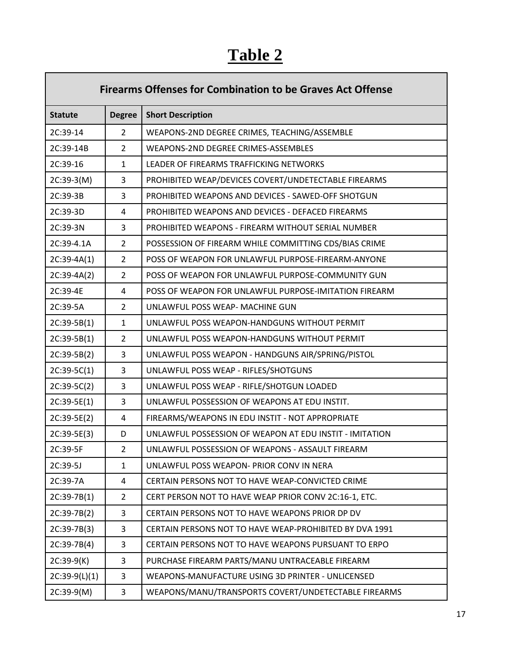# **Table 2**

Г

| <b>Firearms Offenses for Combination to be Graves Act Offense</b> |                |                                                         |  |
|-------------------------------------------------------------------|----------------|---------------------------------------------------------|--|
| <b>Statute</b>                                                    | <b>Degree</b>  | <b>Short Description</b>                                |  |
| 2C:39-14                                                          | $\overline{2}$ | WEAPONS-2ND DEGREE CRIMES, TEACHING/ASSEMBLE            |  |
| 2C:39-14B                                                         | $\overline{2}$ | WEAPONS-2ND DEGREE CRIMES-ASSEMBLES                     |  |
| 2C:39-16                                                          | $\mathbf{1}$   | LEADER OF FIREARMS TRAFFICKING NETWORKS                 |  |
| $2C:39-3(M)$                                                      | 3              | PROHIBITED WEAP/DEVICES COVERT/UNDETECTABLE FIREARMS    |  |
| 2C:39-3B                                                          | 3              | PROHIBITED WEAPONS AND DEVICES - SAWED-OFF SHOTGUN      |  |
| 2C:39-3D                                                          | 4              | PROHIBITED WEAPONS AND DEVICES - DEFACED FIREARMS       |  |
| 2C:39-3N                                                          | 3              | PROHIBITED WEAPONS - FIREARM WITHOUT SERIAL NUMBER      |  |
| 2C:39-4.1A                                                        | $\overline{2}$ | POSSESSION OF FIREARM WHILE COMMITTING CDS/BIAS CRIME   |  |
| $2C:39-4A(1)$                                                     | $\overline{2}$ | POSS OF WEAPON FOR UNLAWFUL PURPOSE-FIREARM-ANYONE      |  |
| $2C:39-4A(2)$                                                     | $\overline{2}$ | POSS OF WEAPON FOR UNLAWFUL PURPOSE-COMMUNITY GUN       |  |
| 2C:39-4E                                                          | 4              | POSS OF WEAPON FOR UNLAWFUL PURPOSE-IMITATION FIREARM   |  |
| 2C:39-5A                                                          | $\overline{2}$ | UNLAWFUL POSS WEAP- MACHINE GUN                         |  |
| $2C:39-5B(1)$                                                     | $\mathbf{1}$   | UNLAWFUL POSS WEAPON-HANDGUNS WITHOUT PERMIT            |  |
| $2C:39-5B(1)$                                                     | $\overline{2}$ | UNLAWFUL POSS WEAPON-HANDGUNS WITHOUT PERMIT            |  |
| $2C:39-5B(2)$                                                     | 3              | UNLAWFUL POSS WEAPON - HANDGUNS AIR/SPRING/PISTOL       |  |
| $2C:39-5C(1)$                                                     | 3              | UNLAWFUL POSS WEAP - RIFLES/SHOTGUNS                    |  |
| $2C:39-5C(2)$                                                     | 3              | UNLAWFUL POSS WEAP - RIFLE/SHOTGUN LOADED               |  |
| $2C:39-5E(1)$                                                     | 3              | UNLAWFUL POSSESSION OF WEAPONS AT EDU INSTIT.           |  |
| 2C:39-5E(2)                                                       | 4              | FIREARMS/WEAPONS IN EDU INSTIT - NOT APPROPRIATE        |  |
| $2C:39-5E(3)$                                                     | D              | UNLAWFUL POSSESSION OF WEAPON AT EDU INSTIT - IMITATION |  |
| 2C:39-5F                                                          | $\overline{2}$ | UNLAWFUL POSSESSION OF WEAPONS - ASSAULT FIREARM        |  |
| 2C:39-5J                                                          | $\mathbf{1}$   | UNLAWFUL POSS WEAPON- PRIOR CONV IN NERA                |  |
| 2C:39-7A                                                          | 4              | CERTAIN PERSONS NOT TO HAVE WEAP-CONVICTED CRIME        |  |
| $2C:39-7B(1)$                                                     | $\overline{2}$ | CERT PERSON NOT TO HAVE WEAP PRIOR CONV 2C:16-1, ETC.   |  |
| 2C:39-7B(2)                                                       | 3              | CERTAIN PERSONS NOT TO HAVE WEAPONS PRIOR DP DV         |  |
| $2C:39-7B(3)$                                                     | 3              | CERTAIN PERSONS NOT TO HAVE WEAP-PROHIBITED BY DVA 1991 |  |
| 2C:39-7B(4)                                                       | 3              | CERTAIN PERSONS NOT TO HAVE WEAPONS PURSUANT TO ERPO    |  |
| $2C:39-9(K)$                                                      | 3              | PURCHASE FIREARM PARTS/MANU UNTRACEABLE FIREARM         |  |
| $2C:39-9(L)(1)$                                                   | 3              | WEAPONS-MANUFACTURE USING 3D PRINTER - UNLICENSED       |  |
| $2C:39-9(M)$                                                      | 3              | WEAPONS/MANU/TRANSPORTS COVERT/UNDETECTABLE FIREARMS    |  |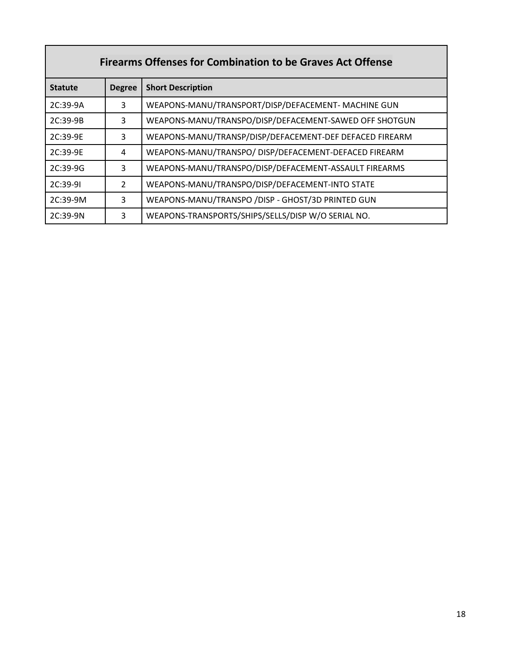| <b>Firearms Offenses for Combination to be Graves Act Offense</b> |                |                                                         |  |
|-------------------------------------------------------------------|----------------|---------------------------------------------------------|--|
| <b>Statute</b>                                                    | <b>Degree</b>  | <b>Short Description</b>                                |  |
| 2C:39-9A                                                          | 3              | WEAPONS-MANU/TRANSPORT/DISP/DEFACEMENT- MACHINE GUN     |  |
| 2C:39-9B                                                          | 3              | WEAPONS-MANU/TRANSPO/DISP/DEFACEMENT-SAWED OFF SHOTGUN  |  |
| 2C:39-9E                                                          | 3              | WEAPONS-MANU/TRANSP/DISP/DEFACEMENT-DEF DEFACED FIREARM |  |
| 2C:39-9E                                                          | 4              | WEAPONS-MANU/TRANSPO/ DISP/DEFACEMENT-DEFACED FIREARM   |  |
| $2C:39-9G$                                                        | 3              | WEAPONS-MANU/TRANSPO/DISP/DEFACEMENT-ASSAULT FIREARMS   |  |
| $2C:39-91$                                                        | $\overline{2}$ | WEAPONS-MANU/TRANSPO/DISP/DEFACEMENT-INTO STATE         |  |
| $2C:39-9M$                                                        | 3              | WEAPONS-MANU/TRANSPO / DISP - GHOST/3D PRINTED GUN      |  |
| 2C:39-9N                                                          | 3              | WEAPONS-TRANSPORTS/SHIPS/SELLS/DISP W/O SERIAL NO.      |  |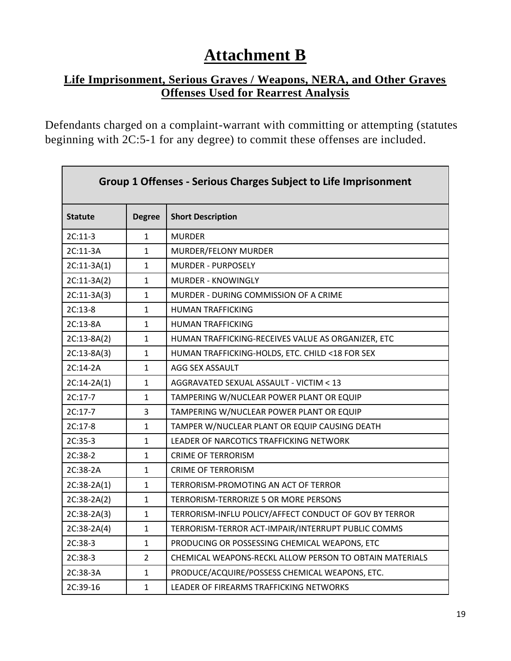# **Attachment B**

## **Life Imprisonment, Serious Graves / Weapons, NERA, and Other Graves Offenses Used for Rearrest Analysis**

Defendants charged on a complaint-warrant with committing or attempting (statutes beginning with 2C:5-1 for any degree) to commit these offenses are included.

| <b>Group 1 Offenses - Serious Charges Subject to Life Imprisonment</b> |               |                                                         |  |  |
|------------------------------------------------------------------------|---------------|---------------------------------------------------------|--|--|
| <b>Statute</b>                                                         | <b>Degree</b> | <b>Short Description</b>                                |  |  |
| $2C:11-3$                                                              | 1             | <b>MURDER</b>                                           |  |  |
| 2C:11-3A                                                               | $\mathbf{1}$  | MURDER/FELONY MURDER                                    |  |  |
| $2C:11-3A(1)$                                                          | $\mathbf{1}$  | <b>MURDER - PURPOSELY</b>                               |  |  |
| $2C:11-3A(2)$                                                          | $\mathbf{1}$  | <b>MURDER - KNOWINGLY</b>                               |  |  |
| $2C:11-3A(3)$                                                          | $\mathbf{1}$  | MURDER - DURING COMMISSION OF A CRIME                   |  |  |
| $2C:13-8$                                                              | 1             | <b>HUMAN TRAFFICKING</b>                                |  |  |
| 2C:13-8A                                                               | $\mathbf{1}$  | <b>HUMAN TRAFFICKING</b>                                |  |  |
| $2C:13-8A(2)$                                                          | $\mathbf{1}$  | HUMAN TRAFFICKING-RECEIVES VALUE AS ORGANIZER, ETC      |  |  |
| $2C:13-8A(3)$                                                          | $\mathbf{1}$  | HUMAN TRAFFICKING-HOLDS, ETC. CHILD <18 FOR SEX         |  |  |
| 2C:14-2A                                                               | $\mathbf{1}$  | AGG SEX ASSAULT                                         |  |  |
| $2C:14-2A(1)$                                                          | $\mathbf{1}$  | AGGRAVATED SEXUAL ASSAULT - VICTIM < 13                 |  |  |
| $2C:17-7$                                                              | $\mathbf{1}$  | TAMPERING W/NUCLEAR POWER PLANT OR EQUIP                |  |  |
| $2C:17-7$                                                              | 3             | TAMPERING W/NUCLEAR POWER PLANT OR EQUIP                |  |  |
| 2C:17-8                                                                | 1             | TAMPER W/NUCLEAR PLANT OR EQUIP CAUSING DEATH           |  |  |
| $2C:35-3$                                                              | $\mathbf{1}$  | LEADER OF NARCOTICS TRAFFICKING NETWORK                 |  |  |
| 2C:38-2                                                                | $\mathbf{1}$  | <b>CRIME OF TERRORISM</b>                               |  |  |
| 2C:38-2A                                                               | 1             | <b>CRIME OF TERRORISM</b>                               |  |  |
| $2C:38-2A(1)$                                                          | $\mathbf{1}$  | TERRORISM-PROMOTING AN ACT OF TERROR                    |  |  |
| 2C:38-2A(2)                                                            | $\mathbf{1}$  | TERRORISM-TERRORIZE 5 OR MORE PERSONS                   |  |  |
| $2C:38-2A(3)$                                                          | $\mathbf{1}$  | TERRORISM-INFLU POLICY/AFFECT CONDUCT OF GOV BY TERROR  |  |  |
| 2C:38-2A(4)                                                            | $\mathbf{1}$  | TERRORISM-TERROR ACT-IMPAIR/INTERRUPT PUBLIC COMMS      |  |  |
| 2C:38-3                                                                | $\mathbf{1}$  | PRODUCING OR POSSESSING CHEMICAL WEAPONS, ETC           |  |  |
| 2C:38-3                                                                | 2             | CHEMICAL WEAPONS-RECKL ALLOW PERSON TO OBTAIN MATERIALS |  |  |
| 2C:38-3A                                                               | 1             | PRODUCE/ACQUIRE/POSSESS CHEMICAL WEAPONS, ETC.          |  |  |
| 2C:39-16                                                               | $\mathbf{1}$  | LEADER OF FIREARMS TRAFFICKING NETWORKS                 |  |  |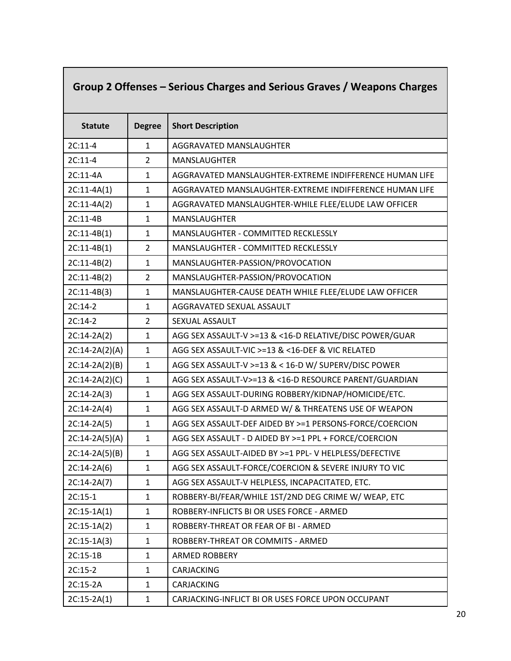# **Group 2 Offenses – Serious Charges and Serious Graves / Weapons Charges**

| <b>Statute</b>   | <b>Degree</b>  | <b>Short Description</b>                                |
|------------------|----------------|---------------------------------------------------------|
| $2C:11-4$        | $\mathbf{1}$   | AGGRAVATED MANSLAUGHTER                                 |
| $2C:11-4$        | $\overline{2}$ | MANSLAUGHTER                                            |
| 2C:11-4A         | $\mathbf{1}$   | AGGRAVATED MANSLAUGHTER-EXTREME INDIFFERENCE HUMAN LIFE |
| $2C:11-4A(1)$    | $\mathbf{1}$   | AGGRAVATED MANSLAUGHTER-EXTREME INDIFFERENCE HUMAN LIFE |
| $2C:11-4A(2)$    | $\mathbf{1}$   | AGGRAVATED MANSLAUGHTER-WHILE FLEE/ELUDE LAW OFFICER    |
| 2C:11-4B         | $\mathbf{1}$   | <b>MANSLAUGHTER</b>                                     |
| $2C:11-4B(1)$    | $\mathbf{1}$   | MANSLAUGHTER - COMMITTED RECKLESSLY                     |
| $2C:11-4B(1)$    | $\overline{2}$ | MANSLAUGHTER - COMMITTED RECKLESSLY                     |
| $2C:11-4B(2)$    | $\mathbf{1}$   | MANSLAUGHTER-PASSION/PROVOCATION                        |
| $2C:11-4B(2)$    | $\overline{2}$ | MANSLAUGHTER-PASSION/PROVOCATION                        |
| $2C:11-4B(3)$    | $\mathbf{1}$   | MANSLAUGHTER-CAUSE DEATH WHILE FLEE/ELUDE LAW OFFICER   |
| $2C:14-2$        | $\mathbf{1}$   | AGGRAVATED SEXUAL ASSAULT                               |
| $2C:14-2$        | $\overline{2}$ | SEXUAL ASSAULT                                          |
| $2C:14-2A(2)$    | $\mathbf{1}$   | AGG SEX ASSAULT-V >=13 & <16-D RELATIVE/DISC POWER/GUAR |
| $2C:14-2A(2)(A)$ | $\mathbf{1}$   | AGG SEX ASSAULT-VIC >=13 & <16-DEF & VIC RELATED        |
| $2C:14-2A(2)(B)$ | $\mathbf{1}$   | AGG SEX ASSAULT-V >=13 & < 16-D W/ SUPERV/DISC POWER    |
| $2C:14-2A(2)(C)$ | $\mathbf{1}$   | AGG SEX ASSAULT-V>=13 & <16-D RESOURCE PARENT/GUARDIAN  |
| $2C:14-2A(3)$    | $\mathbf{1}$   | AGG SEX ASSAULT-DURING ROBBERY/KIDNAP/HOMICIDE/ETC.     |
| $2C:14-2A(4)$    | $\mathbf{1}$   | AGG SEX ASSAULT-D ARMED W/ & THREATENS USE OF WEAPON    |
| $2C:14-2A(5)$    | $\mathbf{1}$   | AGG SEX ASSAULT-DEF AIDED BY >=1 PERSONS-FORCE/COERCION |
| $2C:14-2A(5)(A)$ | $\mathbf{1}$   | AGG SEX ASSAULT - D AIDED BY >=1 PPL + FORCE/COERCION   |
| $2C:14-2A(5)(B)$ | $\mathbf{1}$   | AGG SEX ASSAULT-AIDED BY >=1 PPL-V HELPLESS/DEFECTIVE   |
| $2C:14-2A(6)$    | $\mathbf{1}$   | AGG SEX ASSAULT-FORCE/COERCION & SEVERE INJURY TO VIC   |
| $2C:14-2A(7)$    | 1              | AGG SEX ASSAULT-V HELPLESS, INCAPACITATED, ETC.         |
| $2C:15-1$        | $\mathbf{1}$   | ROBBERY-BI/FEAR/WHILE 1ST/2ND DEG CRIME W/ WEAP, ETC    |
| $2C:15-1A(1)$    | $\mathbf 1$    | ROBBERY-INFLICTS BI OR USES FORCE - ARMED               |
| $2C:15-1A(2)$    | 1              | ROBBERY-THREAT OR FEAR OF BI - ARMED                    |
| $2C:15-1A(3)$    | $\mathbf{1}$   | ROBBERY-THREAT OR COMMITS - ARMED                       |
| 2C:15-1B         | 1              | <b>ARMED ROBBERY</b>                                    |
| $2C:15-2$        | $\mathbf{1}$   | CARJACKING                                              |
| 2C:15-2A         | 1              | CARJACKING                                              |
| $2C:15-2A(1)$    | $\mathbf{1}$   | CARJACKING-INFLICT BI OR USES FORCE UPON OCCUPANT       |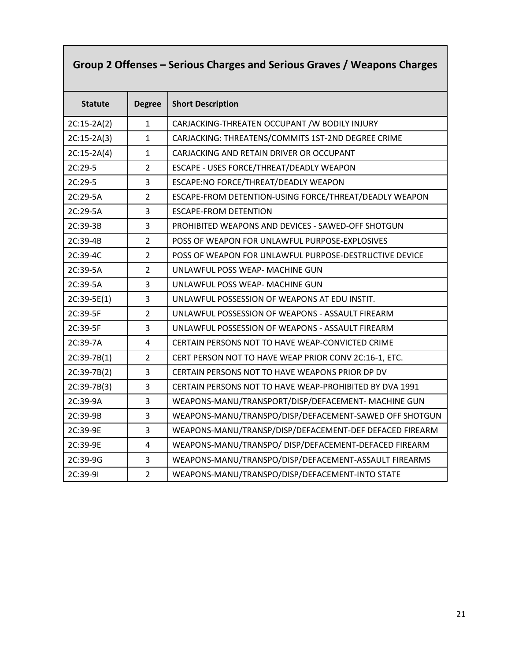# **Group 2 Offenses – Serious Charges and Serious Graves / Weapons Charges**

| <b>Statute</b> | <b>Degree</b>  | <b>Short Description</b>                                |
|----------------|----------------|---------------------------------------------------------|
| $2C:15-2A(2)$  | $\mathbf{1}$   | CARJACKING-THREATEN OCCUPANT / W BODILY INJURY          |
| $2C:15-2A(3)$  | $\mathbf{1}$   | CARJACKING: THREATENS/COMMITS 1ST-2ND DEGREE CRIME      |
| $2C:15-2A(4)$  | $\mathbf{1}$   | CARJACKING AND RETAIN DRIVER OR OCCUPANT                |
| 2C:29-5        | $\overline{2}$ | ESCAPE - USES FORCE/THREAT/DEADLY WEAPON                |
| 2C:29-5        | 3              | ESCAPE:NO FORCE/THREAT/DEADLY WEAPON                    |
| 2C:29-5A       | $\overline{2}$ | ESCAPE-FROM DETENTION-USING FORCE/THREAT/DEADLY WEAPON  |
| 2C:29-5A       | 3              | <b>ESCAPE-FROM DETENTION</b>                            |
| 2C:39-3B       | 3              | PROHIBITED WEAPONS AND DEVICES - SAWED-OFF SHOTGUN      |
| 2C:39-4B       | $\overline{2}$ | POSS OF WEAPON FOR UNLAWFUL PURPOSE-EXPLOSIVES          |
| 2C:39-4C       | $\overline{2}$ | POSS OF WEAPON FOR UNLAWFUL PURPOSE-DESTRUCTIVE DEVICE  |
| 2C:39-5A       | $\overline{2}$ | UNLAWFUL POSS WEAP- MACHINE GUN                         |
| 2C:39-5A       | 3              | UNLAWFUL POSS WEAP- MACHINE GUN                         |
| $2C:39-5E(1)$  | 3              | UNLAWFUL POSSESSION OF WEAPONS AT EDU INSTIT.           |
| 2C:39-5F       | $\overline{2}$ | UNLAWFUL POSSESSION OF WEAPONS - ASSAULT FIREARM        |
| 2C:39-5F       | 3              | UNLAWFUL POSSESSION OF WEAPONS - ASSAULT FIREARM        |
| 2C:39-7A       | 4              | CERTAIN PERSONS NOT TO HAVE WEAP-CONVICTED CRIME        |
| $2C:39-7B(1)$  | $\overline{2}$ | CERT PERSON NOT TO HAVE WEAP PRIOR CONV 2C:16-1, ETC.   |
| 2C:39-7B(2)    | 3              | CERTAIN PERSONS NOT TO HAVE WEAPONS PRIOR DP DV         |
| 2C:39-7B(3)    | $\overline{3}$ | CERTAIN PERSONS NOT TO HAVE WEAP-PROHIBITED BY DVA 1991 |
| 2C:39-9A       | 3              | WEAPONS-MANU/TRANSPORT/DISP/DEFACEMENT- MACHINE GUN     |
| 2C:39-9B       | 3              | WEAPONS-MANU/TRANSPO/DISP/DEFACEMENT-SAWED OFF SHOTGUN  |
| 2C:39-9E       | 3              | WEAPONS-MANU/TRANSP/DISP/DEFACEMENT-DEF DEFACED FIREARM |
| 2C:39-9E       | $\overline{4}$ | WEAPONS-MANU/TRANSPO/ DISP/DEFACEMENT-DEFACED FIREARM   |
| 2C:39-9G       | $\overline{3}$ | WEAPONS-MANU/TRANSPO/DISP/DEFACEMENT-ASSAULT FIREARMS   |
| 2C:39-91       | $\overline{2}$ | WEAPONS-MANU/TRANSPO/DISP/DEFACEMENT-INTO STATE         |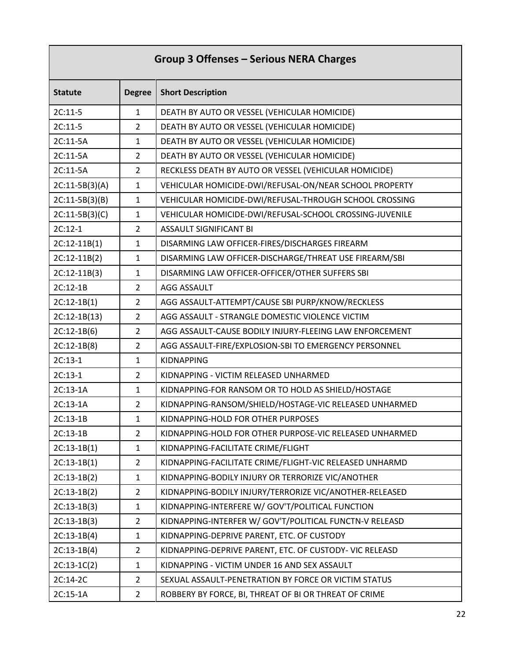| <b>Group 3 Offenses - Serious NERA Charges</b> |                |                                                         |
|------------------------------------------------|----------------|---------------------------------------------------------|
| <b>Statute</b>                                 | <b>Degree</b>  | <b>Short Description</b>                                |
| 2C:11-5                                        | $\mathbf{1}$   | DEATH BY AUTO OR VESSEL (VEHICULAR HOMICIDE)            |
| $2C:11-5$                                      | $\overline{2}$ | DEATH BY AUTO OR VESSEL (VEHICULAR HOMICIDE)            |
| 2C:11-5A                                       | $\mathbf{1}$   | DEATH BY AUTO OR VESSEL (VEHICULAR HOMICIDE)            |
| 2C:11-5A                                       | $\overline{2}$ | DEATH BY AUTO OR VESSEL (VEHICULAR HOMICIDE)            |
| 2C:11-5A                                       | $\overline{2}$ | RECKLESS DEATH BY AUTO OR VESSEL (VEHICULAR HOMICIDE)   |
| $2C:11-5B(3)(A)$                               | $\mathbf{1}$   | VEHICULAR HOMICIDE-DWI/REFUSAL-ON/NEAR SCHOOL PROPERTY  |
| $2C:11-5B(3)(B)$                               | $\mathbf{1}$   | VEHICULAR HOMICIDE-DWI/REFUSAL-THROUGH SCHOOL CROSSING  |
| $2C:11-5B(3)(C)$                               | $\mathbf{1}$   | VEHICULAR HOMICIDE-DWI/REFUSAL-SCHOOL CROSSING-JUVENILE |
| $2C:12-1$                                      | $\overline{2}$ | <b>ASSAULT SIGNIFICANT BI</b>                           |
| $2C:12-11B(1)$                                 | $\mathbf{1}$   | DISARMING LAW OFFICER-FIRES/DISCHARGES FIREARM          |
| $2C:12-11B(2)$                                 | $\mathbf{1}$   | DISARMING LAW OFFICER-DISCHARGE/THREAT USE FIREARM/SBI  |
| $2C:12-11B(3)$                                 | $\mathbf{1}$   | DISARMING LAW OFFICER-OFFICER/OTHER SUFFERS SBI         |
| 2C:12-1B                                       | $\overline{2}$ | <b>AGG ASSAULT</b>                                      |
| $2C:12-1B(1)$                                  | $\overline{2}$ | AGG ASSAULT-ATTEMPT/CAUSE SBI PURP/KNOW/RECKLESS        |
| $2C:12-1B(13)$                                 | $\overline{2}$ | AGG ASSAULT - STRANGLE DOMESTIC VIOLENCE VICTIM         |
| $2C:12-1B(6)$                                  | $\overline{2}$ | AGG ASSAULT-CAUSE BODILY INJURY-FLEEING LAW ENFORCEMENT |
| $2C:12-1B(8)$                                  | $\overline{2}$ | AGG ASSAULT-FIRE/EXPLOSION-SBI TO EMERGENCY PERSONNEL   |
| $2C:13-1$                                      | $\mathbf{1}$   | <b>KIDNAPPING</b>                                       |
| $2C:13-1$                                      | $\overline{2}$ | KIDNAPPING - VICTIM RELEASED UNHARMED                   |
| 2C:13-1A                                       | $\mathbf{1}$   | KIDNAPPING-FOR RANSOM OR TO HOLD AS SHIELD/HOSTAGE      |
| 2C:13-1A                                       | $\overline{2}$ | KIDNAPPING-RANSOM/SHIELD/HOSTAGE-VIC RELEASED UNHARMED  |
| 2C:13-1B                                       | $\mathbf{1}$   | KIDNAPPING-HOLD FOR OTHER PURPOSES                      |
| 2C:13-1B                                       | $\overline{2}$ | KIDNAPPING-HOLD FOR OTHER PURPOSE-VIC RELEASED UNHARMED |
| $2C:13-1B(1)$                                  | 1              | KIDNAPPING-FACILITATE CRIME/FLIGHT                      |
| $2C:13-1B(1)$                                  | $\overline{2}$ | KIDNAPPING-FACILITATE CRIME/FLIGHT-VIC RELEASED UNHARMD |
| $2C:13-1B(2)$                                  | $\mathbf{1}$   | KIDNAPPING-BODILY INJURY OR TERRORIZE VIC/ANOTHER       |
| $2C:13-1B(2)$                                  | $\overline{2}$ | KIDNAPPING-BODILY INJURY/TERRORIZE VIC/ANOTHER-RELEASED |
| $2C:13-1B(3)$                                  | $\mathbf{1}$   | KIDNAPPING-INTERFERE W/ GOV'T/POLITICAL FUNCTION        |
| $2C:13-1B(3)$                                  | $\overline{2}$ | KIDNAPPING-INTERFER W/ GOV'T/POLITICAL FUNCTN-V RELEASD |
| $2C:13-1B(4)$                                  | 1              | KIDNAPPING-DEPRIVE PARENT, ETC. OF CUSTODY              |
| $2C:13-1B(4)$                                  | $\overline{2}$ | KIDNAPPING-DEPRIVE PARENT, ETC. OF CUSTODY- VIC RELEASD |
| $2C:13-1C(2)$                                  | $\mathbf{1}$   | KIDNAPPING - VICTIM UNDER 16 AND SEX ASSAULT            |
| 2C:14-2C                                       | $\overline{2}$ | SEXUAL ASSAULT-PENETRATION BY FORCE OR VICTIM STATUS    |
| 2C:15-1A                                       | $\overline{2}$ | ROBBERY BY FORCE, BI, THREAT OF BI OR THREAT OF CRIME   |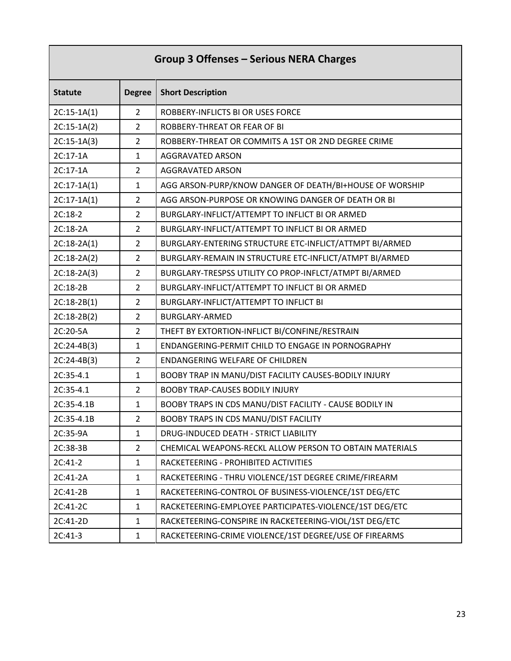| Group 3 Offenses - Serious NERA Charges |                |                                                         |
|-----------------------------------------|----------------|---------------------------------------------------------|
| <b>Statute</b>                          | <b>Degree</b>  | <b>Short Description</b>                                |
| $2C:15-1A(1)$                           | $\overline{2}$ | ROBBERY-INFLICTS BI OR USES FORCE                       |
| $2C:15-1A(2)$                           | $\overline{2}$ | ROBBERY-THREAT OR FEAR OF BI                            |
| $2C:15-1A(3)$                           | $\overline{2}$ | ROBBERY-THREAT OR COMMITS A 1ST OR 2ND DEGREE CRIME     |
| 2C:17-1A                                | $\mathbf{1}$   | <b>AGGRAVATED ARSON</b>                                 |
| 2C:17-1A                                | $\overline{2}$ | <b>AGGRAVATED ARSON</b>                                 |
| $2C:17-1A(1)$                           | $\mathbf{1}$   | AGG ARSON-PURP/KNOW DANGER OF DEATH/BI+HOUSE OF WORSHIP |
| $2C:17-1A(1)$                           | $\overline{2}$ | AGG ARSON-PURPOSE OR KNOWING DANGER OF DEATH OR BI      |
| 2C:18-2                                 | $\overline{2}$ | BURGLARY-INFLICT/ATTEMPT TO INFLICT BI OR ARMED         |
| 2C:18-2A                                | $\overline{2}$ | BURGLARY-INFLICT/ATTEMPT TO INFLICT BI OR ARMED         |
| $2C:18-2A(1)$                           | $\overline{2}$ | BURGLARY-ENTERING STRUCTURE ETC-INFLICT/ATTMPT BI/ARMED |
| $2C:18-2A(2)$                           | $\overline{2}$ | BURGLARY-REMAIN IN STRUCTURE ETC-INFLICT/ATMPT BI/ARMED |
| $2C:18-2A(3)$                           | $\overline{2}$ | BURGLARY-TRESPSS UTILITY CO PROP-INFLCT/ATMPT BI/ARMED  |
| 2C:18-2B                                | $\overline{2}$ | BURGLARY-INFLICT/ATTEMPT TO INFLICT BI OR ARMED         |
| $2C:18-2B(1)$                           | $\overline{2}$ | BURGLARY-INFLICT/ATTEMPT TO INFLICT BI                  |
| $2C:18-2B(2)$                           | $\overline{2}$ | <b>BURGLARY-ARMED</b>                                   |
| 2C:20-5A                                | $\overline{2}$ | THEFT BY EXTORTION-INFLICT BI/CONFINE/RESTRAIN          |
| $2C:24-4B(3)$                           | $\mathbf{1}$   | ENDANGERING-PERMIT CHILD TO ENGAGE IN PORNOGRAPHY       |
| $2C:24-4B(3)$                           | $\overline{2}$ | ENDANGERING WELFARE OF CHILDREN                         |
| 2C:35-4.1                               | $\mathbf{1}$   | BOOBY TRAP IN MANU/DIST FACILITY CAUSES-BODILY INJURY   |
| 2C:35-4.1                               | $\overline{2}$ | <b>BOOBY TRAP-CAUSES BODILY INJURY</b>                  |
| 2C:35-4.1B                              | 1              | BOOBY TRAPS IN CDS MANU/DIST FACILITY - CAUSE BODILY IN |
| 2C:35-4.1B                              | $\overline{2}$ | BOOBY TRAPS IN CDS MANU/DIST FACILITY                   |
| 2C:35-9A                                | $\mathbf{1}$   | DRUG-INDUCED DEATH - STRICT LIABILITY                   |
| 2C:38-3B                                | $\overline{2}$ | CHEMICAL WEAPONS-RECKL ALLOW PERSON TO OBTAIN MATERIALS |
| $2C:41-2$                               | $\mathbf{1}$   | RACKETEERING - PROHIBITED ACTIVITIES                    |
| 2C:41-2A                                | $\mathbf{1}$   | RACKETEERING - THRU VIOLENCE/1ST DEGREE CRIME/FIREARM   |
| 2C:41-2B                                | $\mathbf{1}$   | RACKETEERING-CONTROL OF BUSINESS-VIOLENCE/1ST DEG/ETC   |
| 2C:41-2C                                | $\mathbf{1}$   | RACKETEERING-EMPLOYEE PARTICIPATES-VIOLENCE/1ST DEG/ETC |
| 2C:41-2D                                | $\mathbf{1}$   | RACKETEERING-CONSPIRE IN RACKETEERING-VIOL/1ST DEG/ETC  |
| $2C:41-3$                               | $\mathbf{1}$   | RACKETEERING-CRIME VIOLENCE/1ST DEGREE/USE OF FIREARMS  |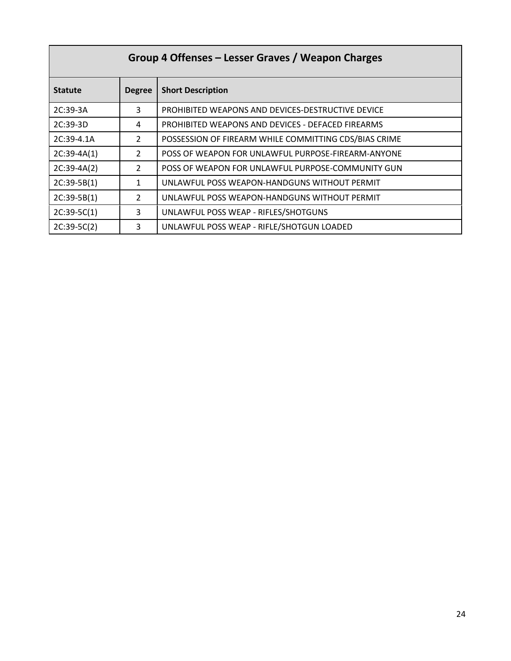| Group 4 Offenses - Lesser Graves / Weapon Charges |               |                                                       |
|---------------------------------------------------|---------------|-------------------------------------------------------|
| <b>Statute</b>                                    | <b>Degree</b> | <b>Short Description</b>                              |
| 2C:39-3A                                          | 3             | PROHIBITED WEAPONS AND DEVICES-DESTRUCTIVE DEVICE     |
| $2C:39-3D$                                        | 4             | PROHIBITED WEAPONS AND DEVICES - DEFACED FIREARMS     |
| 2C:39-4.1A                                        | $\mathcal{P}$ | POSSESSION OF FIREARM WHILE COMMITTING CDS/BIAS CRIME |
| $2C:39-4A(1)$                                     | $\mathcal{P}$ | POSS OF WEAPON FOR UNLAWFUL PURPOSE-FIREARM-ANYONE    |
| $2C:39-4A(2)$                                     | $\mathcal{P}$ | POSS OF WEAPON FOR UNLAWFUL PURPOSE-COMMUNITY GUN     |
| $2C:39-5B(1)$                                     | $\mathbf{1}$  | UNLAWFUL POSS WEAPON-HANDGUNS WITHOUT PERMIT          |
| $2C:39-5B(1)$                                     | $\mathcal{P}$ | UNLAWFUL POSS WEAPON-HANDGUNS WITHOUT PERMIT          |
| $2C:39-5C(1)$                                     | 3             | UNLAWFUL POSS WEAP - RIFLES/SHOTGUNS                  |
| $2C:39-5C(2)$                                     | 3             | UNLAWFUL POSS WEAP - RIFLE/SHOTGUN LOADED             |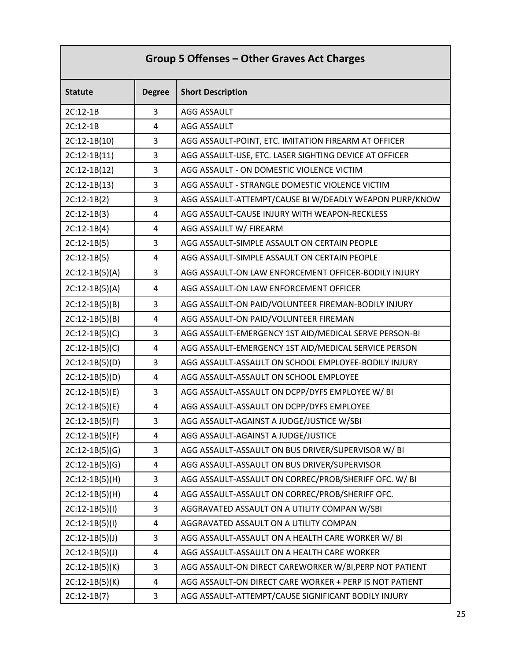| Group 5 Offenses - Other Graves Act Charges |                |                                                         |
|---------------------------------------------|----------------|---------------------------------------------------------|
| <b>Statute</b>                              | <b>Degree</b>  | <b>Short Description</b>                                |
| 2C:12-1B                                    | 3              | AGG ASSAULT                                             |
| 2C:12-1B                                    | 4              | AGG ASSAULT                                             |
| $2C:12-1B(10)$                              | 3              | AGG ASSAULT-POINT, ETC. IMITATION FIREARM AT OFFICER    |
| $2C:12-1B(11)$                              | 3              | AGG ASSAULT-USE, ETC. LASER SIGHTING DEVICE AT OFFICER  |
| $2C:12-1B(12)$                              | 3              | AGG ASSAULT - ON DOMESTIC VIOLENCE VICTIM               |
| $2C:12-1B(13)$                              | 3              | AGG ASSAULT - STRANGLE DOMESTIC VIOLENCE VICTIM         |
| $2C:12-1B(2)$                               | 3              | AGG ASSAULT-ATTEMPT/CAUSE BI W/DEADLY WEAPON PURP/KNOW  |
| $2C:12-1B(3)$                               | 4              | AGG ASSAULT-CAUSE INJURY WITH WEAPON-RECKLESS           |
| $2C:12-1B(4)$                               | 4              | AGG ASSAULT W/ FIREARM                                  |
| $2C:12-1B(5)$                               | 3              | AGG ASSAULT-SIMPLE ASSAULT ON CERTAIN PEOPLE            |
| $2C:12-1B(5)$                               | 4              | AGG ASSAULT-SIMPLE ASSAULT ON CERTAIN PEOPLE            |
| $2C:12-1B(5)(A)$                            | 3              | AGG ASSAULT-ON LAW ENFORCEMENT OFFICER-BODILY INJURY    |
| $2C:12-1B(5)(A)$                            | 4              | AGG ASSAULT-ON LAW ENFORCEMENT OFFICER                  |
| $2C:12-1B(5)(B)$                            | 3              | AGG ASSAULT-ON PAID/VOLUNTEER FIREMAN-BODILY INJURY     |
| $2C:12-1B(5)(B)$                            | 4              | AGG ASSAULT-ON PAID/VOLUNTEER FIREMAN                   |
| $2C:12-1B(5)(C)$                            | 3              | AGG ASSAULT-EMERGENCY 1ST AID/MEDICAL SERVE PERSON-BI   |
| $2C:12-1B(5)(C)$                            | 4              | AGG ASSAULT-EMERGENCY 1ST AID/MEDICAL SERVICE PERSON    |
| $2C:12-1B(5)(D)$                            | 3              | AGG ASSAULT-ASSAULT ON SCHOOL EMPLOYEE-BODILY INJURY    |
| $2C:12-1B(5)(D)$                            | 4              | AGG ASSAULT-ASSAULT ON SCHOOL EMPLOYEE                  |
| $2C:12-1B(5)(E)$                            | 3              | AGG ASSAULT-ASSAULT ON DCPP/DYFS EMPLOYEE W/ BI         |
| $2C:12-1B(5)(E)$                            | 4              | AGG ASSAULT-ASSAULT ON DCPP/DYFS EMPLOYEE               |
| $2C:12-1B(5)(F)$                            | 3              | AGG ASSAULT-AGAINST A JUDGE/JUSTICE W/SBI               |
| $2C:12-1B(5)(F)$                            | 4              | AGG ASSAULT-AGAINST A JUDGE/JUSTICE                     |
| $2C:12-1B(5)(G)$                            | 3              | AGG ASSAULT-ASSAULT ON BUS DRIVER/SUPERVISOR W/ BI      |
| $2C:12-1B(5)(G)$                            | 4              | AGG ASSAULT-ASSAULT ON BUS DRIVER/SUPERVISOR            |
| $2C:12-1B(5)(H)$                            | 3              | AGG ASSAULT-ASSAULT ON CORREC/PROB/SHERIFF OFC. W/ BI   |
| $2C:12-1B(5)(H)$                            | 4              | AGG ASSAULT-ASSAULT ON CORREC/PROB/SHERIFF OFC.         |
| $2C:12-1B(5)(I)$                            | 3              | AGGRAVATED ASSAULT ON A UTILITY COMPAN W/SBI            |
| $2C:12-1B(5)(1)$                            | 4              | AGGRAVATED ASSAULT ON A UTILITY COMPAN                  |
| $2C:12-1B(5)(J)$                            | 3              | AGG ASSAULT-ASSAULT ON A HEALTH CARE WORKER W/ BI       |
| $2C:12-1B(5)(J)$                            | 4              | AGG ASSAULT-ASSAULT ON A HEALTH CARE WORKER             |
| $2C:12-1B(5)(K)$                            | 3              | AGG ASSAULT-ON DIRECT CAREWORKER W/BI, PERP NOT PATIENT |
| $2C:12-1B(5)(K)$                            | $\overline{a}$ | AGG ASSAULT-ON DIRECT CARE WORKER + PERP IS NOT PATIENT |
| $2C:12-1B(7)$                               | 3              | AGG ASSAULT-ATTEMPT/CAUSE SIGNIFICANT BODILY INJURY     |